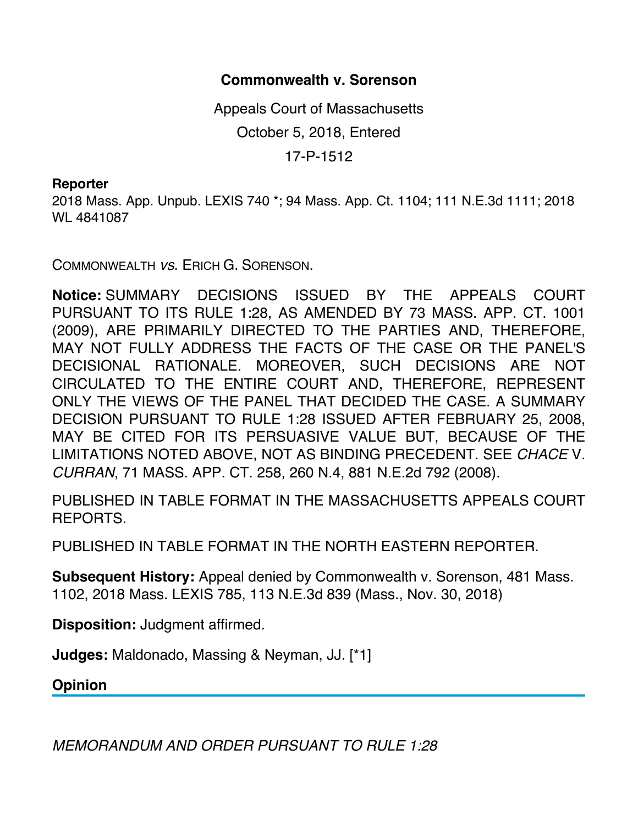## **Commonwealth v. Sorenson**

Appeals Court of Massachusetts October 5, 2018, Entered 17-P-1512

## **Reporter**

2018 Mass. App. Unpub. LEXIS 740 \*; 94 Mass. App. Ct. 1104; 111 N.E.3d 1111; 2018 WL 4841087

COMMONWEALTH *vs*. ERICH G. SORENSON.

**Notice:** SUMMARY DECISIONS ISSUED BY THE APPEALS COURT PURSUANT TO ITS RULE 1:28, AS AMENDED BY 73 MASS. APP. CT. 1001 (2009), ARE PRIMARILY DIRECTED TO THE PARTIES AND, THEREFORE, MAY NOT FULLY ADDRESS THE FACTS OF THE CASE OR THE PANEL'S DECISIONAL RATIONALE. MOREOVER, SUCH DECISIONS ARE NOT CIRCULATED TO THE ENTIRE COURT AND, THEREFORE, REPRESENT ONLY THE VIEWS OF THE PANEL THAT DECIDED THE CASE. A SUMMARY DECISION PURSUANT TO RULE 1:28 ISSUED AFTER FEBRUARY 25, 2008, MAY BE CITED FOR ITS PERSUASIVE VALUE BUT, BECAUSE OF THE LIMITATIONS NOTED ABOVE, NOT AS BINDING PRECEDENT. SEE *CHACE* V. *CURRAN*, 71 MASS. APP. CT. 258, 260 N.4, 881 N.E.2d 792 (2008).

PUBLISHED IN TABLE FORMAT IN THE MASSACHUSETTS APPEALS COURT REPORTS.

PUBLISHED IN TABLE FORMAT IN THE NORTH EASTERN REPORTER.

**Subsequent History:** Appeal denied by Commonwealth v. Sorenson, 481 Mass. 1102, 2018 Mass. LEXIS 785, 113 N.E.3d 839 (Mass., Nov. 30, 2018)

**Disposition:** Judgment affirmed.

**Judges:** Maldonado, Massing & Neyman, JJ. [\*1]

**Opinion**

*MEMORANDUM AND ORDER PURSUANT TO RULE 1:28*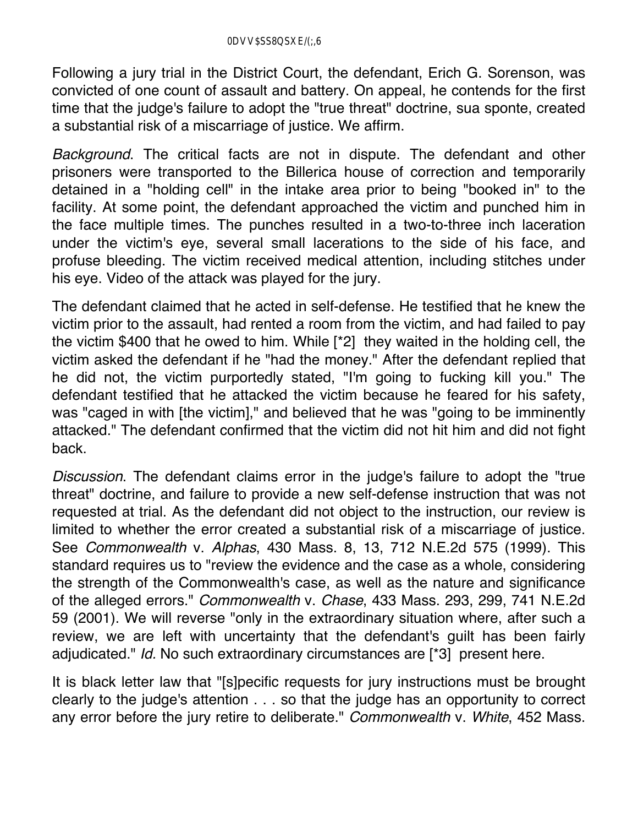Following a jury trial in the District Court, the defendant, Erich G. Sorenson, was convicted of one count of assault and battery. On appeal, he contends for the first time that the judge's failure to adopt the "true threat" doctrine, sua sponte, created a substantial risk of a miscarriage of justice. We affirm.

*Background*. The critical facts are not in dispute. The defendant and other prisoners were transported to the Billerica house of correction and temporarily detained in a "holding cell" in the intake area prior to being "booked in" to the facility. At some point, the defendant approached the victim and punched him in the face multiple times. The punches resulted in a two-to-three inch laceration under the victim's eye, several small lacerations to the side of his face, and profuse bleeding. The victim received medical attention, including stitches under his eye. Video of the attack was played for the jury.

The defendant claimed that he acted in self-defense. He testified that he knew the victim prior to the assault, had rented a room from the victim, and had failed to pay the victim \$400 that he owed to him. While [\*2] they waited in the holding cell, the victim asked the defendant if he "had the money." After the defendant replied that he did not, the victim purportedly stated, "I'm going to fucking kill you." The defendant testified that he attacked the victim because he feared for his safety, was "caged in with [the victim]," and believed that he was "going to be imminently attacked." The defendant confirmed that the victim did not hit him and did not fight back.

*Discussion*. The defendant claims error in the judge's failure to adopt the "true threat" doctrine, and failure to provide a new self-defense instruction that was not requested at trial. As the defendant did not object to the instruction, our review is limited to whether the error created a substantial risk of a miscarriage of justice. See *Commonwealth* v. *Alphas*, 430 Mass. 8, 13, 712 N.E.2d 575 (1999). This standard requires us to "review the evidence and the case as a whole, considering the strength of the Commonwealth's case, as well as the nature and significance of the alleged errors." *Commonwealth* v. *Chase*, 433 Mass. 293, 299, 741 N.E.2d 59 (2001). We will reverse "only in the extraordinary situation where, after such a review, we are left with uncertainty that the defendant's guilt has been fairly adjudicated." *Id.* No such extraordinary circumstances are [\*3] present here.

It is black letter law that "[s]pecific requests for jury instructions must be brought clearly to the judge's attention . . . so that the judge has an opportunity to correct any error before the jury retire to deliberate." *Commonwealth* v. *White*, 452 Mass.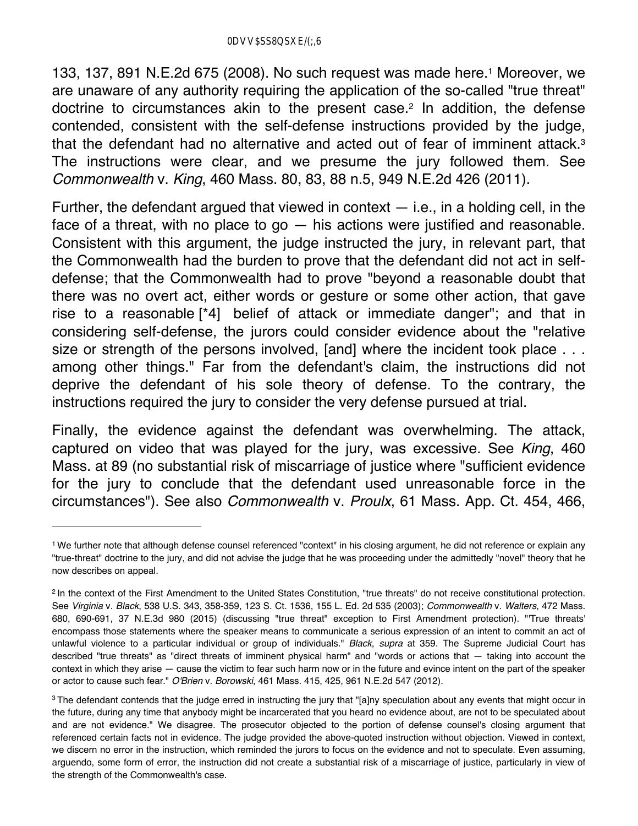133, 137, 891 N.E.2d 675 (2008). No such request was made here.1 Moreover, we are unaware of any authority requiring the application of the so-called "true threat" doctrine to circumstances akin to the present case.<sup>2</sup> In addition, the defense contended, consistent with the self-defense instructions provided by the judge, that the defendant had no alternative and acted out of fear of imminent attack.3 The instructions were clear, and we presume the jury followed them. See *Commonwealth* v. *King*, 460 Mass. 80, 83, 88 n.5, 949 N.E.2d 426 (2011).

Further, the defendant argued that viewed in context  $-$  i.e., in a holding cell, in the face of a threat, with no place to  $go - his$  actions were justified and reasonable. Consistent with this argument, the judge instructed the jury, in relevant part, that the Commonwealth had the burden to prove that the defendant did not act in selfdefense; that the Commonwealth had to prove "beyond a reasonable doubt that there was no overt act, either words or gesture or some other action, that gave rise to a reasonable [\*4] belief of attack or immediate danger"; and that in considering self-defense, the jurors could consider evidence about the "relative size or strength of the persons involved, [and] where the incident took place ... among other things." Far from the defendant's claim, the instructions did not deprive the defendant of his sole theory of defense. To the contrary, the instructions required the jury to consider the very defense pursued at trial.

Finally, the evidence against the defendant was overwhelming. The attack, captured on video that was played for the jury, was excessive. See *King*, 460 Mass. at 89 (no substantial risk of miscarriage of justice where "sufficient evidence for the jury to conclude that the defendant used unreasonable force in the circumstances"). See also *Commonwealth* v. *Proulx*, 61 Mass. App. Ct. 454, 466,

<sup>1</sup> We further note that although defense counsel referenced "context" in his closing argument, he did not reference or explain any "true-threat" doctrine to the jury, and did not advise the judge that he was proceeding under the admittedly "novel" theory that he now describes on appeal.

<sup>&</sup>lt;sup>2</sup> In the context of the First Amendment to the United States Constitution, "true threats" do not receive constitutional protection. See *Virginia* v. *Black*, 538 U.S. 343, 358-359, 123 S. Ct. 1536, 155 L. Ed. 2d 535 (2003); *Commonwealth* v. *Walters*, 472 Mass. 680, 690-691, 37 N.E.3d 980 (2015) (discussing "true threat" exception to First Amendment protection). "'True threats' encompass those statements where the speaker means to communicate a serious expression of an intent to commit an act of unlawful violence to a particular individual or group of individuals." *Black*, *supra* at 359. The Supreme Judicial Court has described "true threats" as "direct threats of imminent physical harm" and "words or actions that — taking into account the context in which they arise — cause the victim to fear such harm now or in the future and evince intent on the part of the speaker or actor to cause such fear." *O'Brien* v. *Borowski*, 461 Mass. 415, 425, 961 N.E.2d 547 (2012).

<sup>&</sup>lt;sup>3</sup> The defendant contends that the judge erred in instructing the jury that "[a]ny speculation about any events that might occur in the future, during any time that anybody might be incarcerated that you heard no evidence about, are not to be speculated about and are not evidence." We disagree. The prosecutor objected to the portion of defense counsel's closing argument that referenced certain facts not in evidence. The judge provided the above-quoted instruction without objection. Viewed in context, we discern no error in the instruction, which reminded the jurors to focus on the evidence and not to speculate. Even assuming, arguendo, some form of error, the instruction did not create a substantial risk of a miscarriage of justice, particularly in view of the strength of the Commonwealth's case.